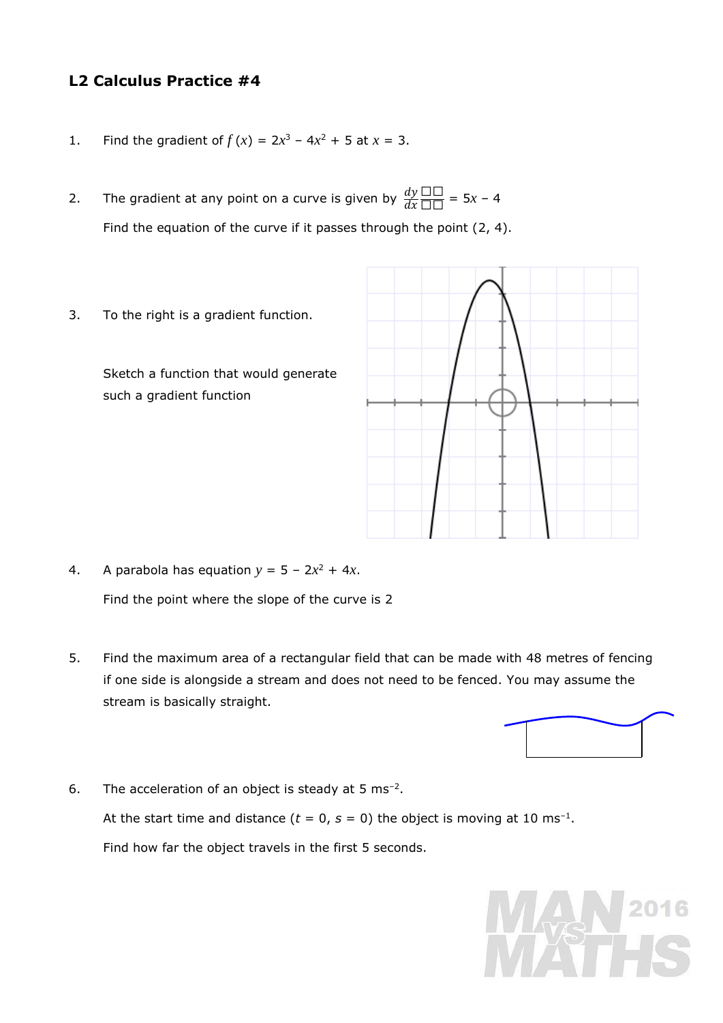## **L2 Calculus Practice #4**

- 1. Find the gradient of  $f(x) = 2x^3 4x^2 + 5$  at  $x = 3$ .
- 2. The gradient at any point on a curve is given by  $\frac{dy}{dx}$  $\frac{\Box \Box}{\Box \Box} = 5x - 4$ Find the equation of the curve if it passes through the point (2, 4).
- 3. To the right is a gradient function.

Sketch a function that would generate such a gradient function



```
4. A parabola has equation y = 5 - 2x^2 + 4x.
Find the point where the slope of the curve is 2
```
5. Find the maximum area of a rectangular field that can be made with 48 metres of fencing if one side is alongside a stream and does not need to be fenced. You may assume the stream is basically straight.



6. The acceleration of an object is steady at  $5 \text{ ms}^{-2}$ . At the start time and distance ( $t = 0$ ,  $s = 0$ ) the object is moving at 10 ms<sup>-1</sup>. Find how far the object travels in the first 5 seconds.